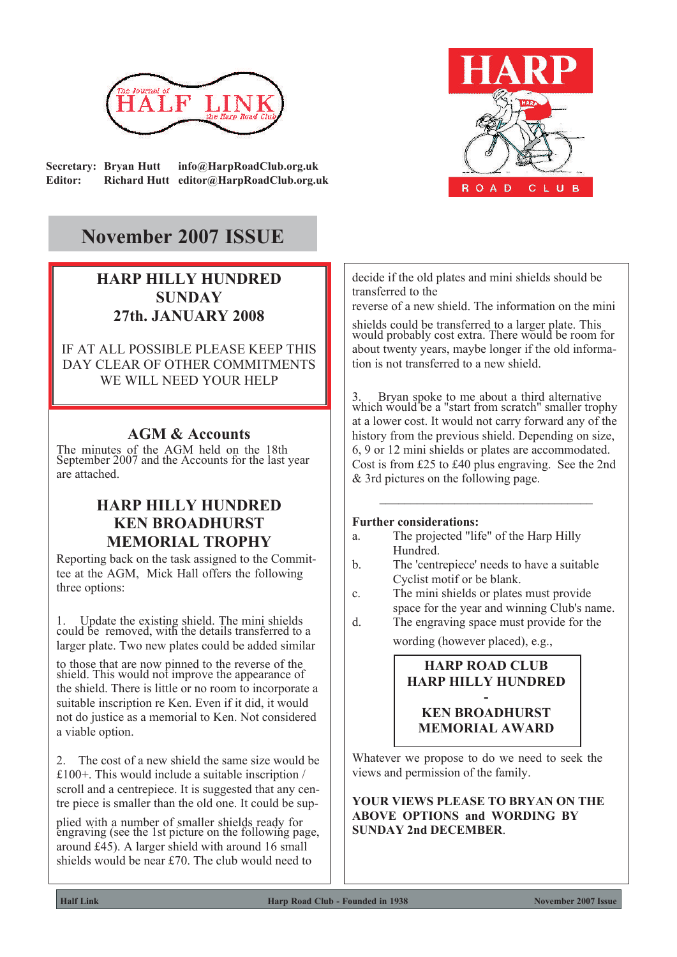

**Secretary: Bryan Hutt info@HarpRoadClub.org.uk Editor: Richard Hutt editor@HarpRoadClub.org.uk**



# **November 2007 ISSUE**

# **HARP HILLY HUNDRED SUNDAY 27th. JANUARY 2008**

IF AT ALL POSSIBLE PLEASE KEEP THIS DAY CLEAR OF OTHER COMMITMENTS WE WILL NEED YOUR HELP

### **AGM & Accounts**

The minutes of the AGM held on the 18th September 2007 and the Accounts for the last year are attached.

# **HARP HILLY HUNDRED KEN BROADHURST MEMORIAL TROPHY**

Reporting back on the task assigned to the Committee at the AGM, Mick Hall offers the following three options:

1. Update the existing shield. The mini shields could be removed, with the details transferred to a larger plate. Two new plates could be added similar

to those that are now pinned to the reverse of the shield. This would not improve the appearance of the shield. There is little or no room to incorporate a suitable inscription re Ken. Even if it did, it would not do justice as a memorial to Ken. Not considered a viable option.

2. The cost of a new shield the same size would be £100+. This would include a suitable inscription / scroll and a centrepiece. It is suggested that any centre piece is smaller than the old one. It could be sup-

plied with a number of smaller shields ready for engraving (see the 1st picture on the following page, around £45). A larger shield with around 16 small shields would be near £70. The club would need to

decide if the old plates and mini shields should be transferred to the

reverse of a new shield. The information on the mini

shields could be transferred to a larger plate. This would probably cost extra. There would be room for about twenty years, maybe longer if the old information is not transferred to a new shield.

3. Bryan spoke to me about a third alternative which would be a "start from scratch" smaller trophy at a lower cost. It would not carry forward any of the history from the previous shield. Depending on size, 6, 9 or 12 mini shields or plates are accommodated. Cost is from £25 to £40 plus engraving. See the 2nd & 3rd pictures on the following page.

\_\_\_\_\_\_\_\_\_\_\_\_\_\_\_\_\_\_\_\_\_\_\_\_\_\_\_\_\_\_\_\_\_\_

#### **Further considerations:**

- a. The projected "life" of the Harp Hilly Hundred.
- b. The 'centrepiece' needs to have a suitable Cyclist motif or be blank.
- c. The mini shields or plates must provide space for the year and winning Club's name.
- d. The engraving space must provide for the wording (however placed), e.g.,

### **HARP ROAD CLUB HARP HILLY HUNDRED**

#### **- KEN BROADHURST MEMORIAL AWARD**

Whatever we propose to do we need to seek the views and permission of the family.

**YOUR VIEWS PLEASE TO BRYAN ON THE ABOVE OPTIONS and WORDING BY SUNDAY 2nd DECEMBER**.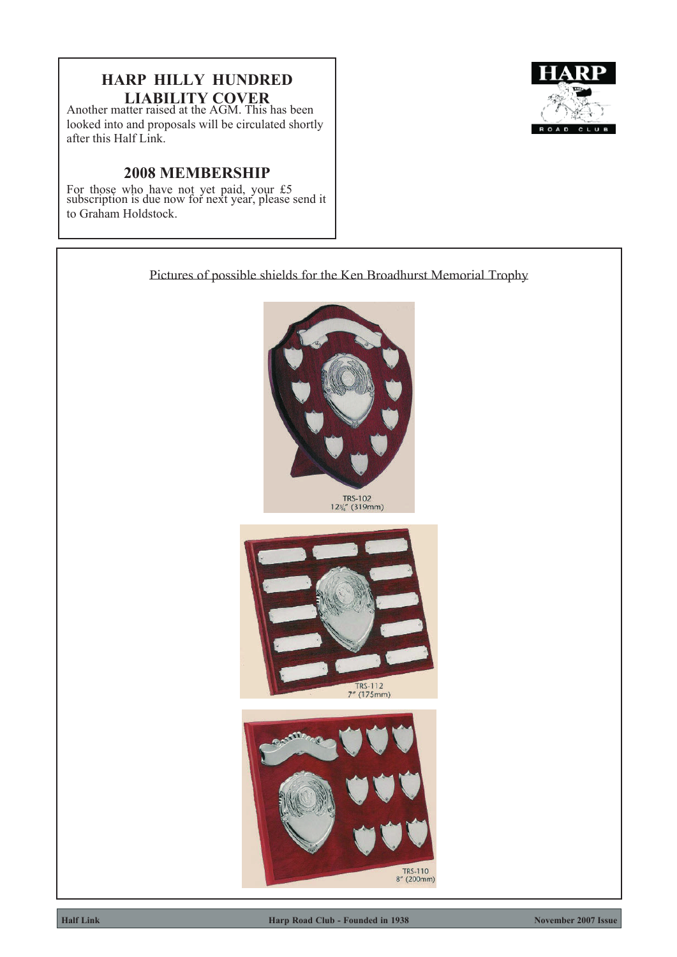# **HARP HILLY HUNDRED LIABILITY COVER**

Another matter raised at the AGM. This has been looked into and proposals will be circulated shortly after this Half Link.

# **2008 MEMBERSHIP**

For those who have not yet paid, your £5 subscription is due now for next year, please send it to Graham Holdstock.



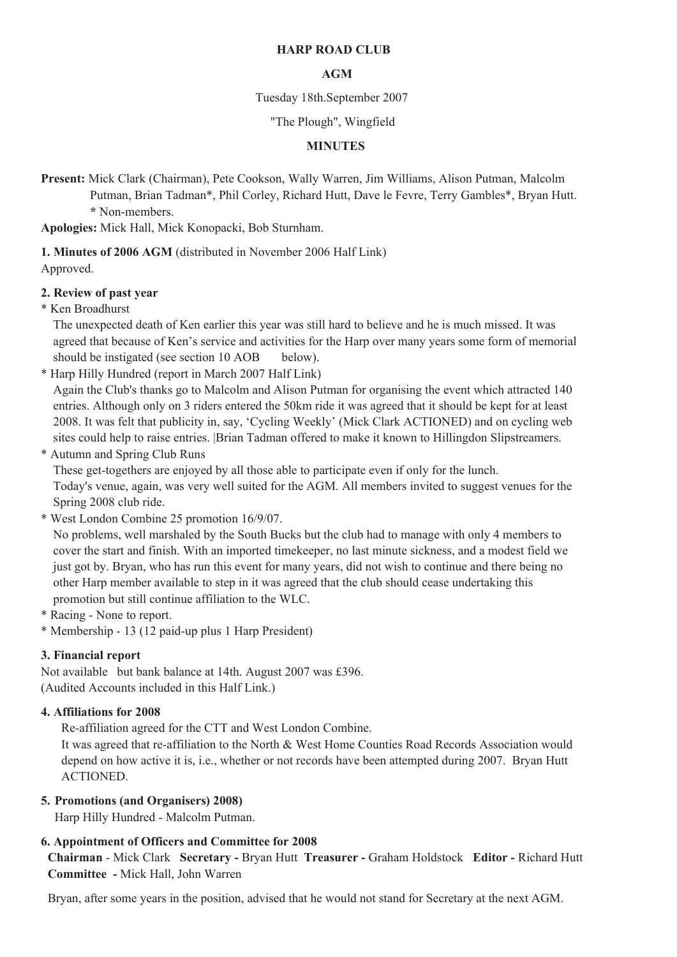#### **HARP ROAD CLUB**

#### **AGM**

#### Tuesday 18th.September 2007

#### "The Plough", Wingfield

#### **MINUTES**

**Present:** Mick Clark (Chairman), Pete Cookson, Wally Warren, Jim Williams, Alison Putman, Malcolm

Putman, Brian Tadman\*, Phil Corley, Richard Hutt, Dave le Fevre, Terry Gambles\*, Bryan Hutt. **\*** Non-members.

**Apologies:** Mick Hall, Mick Konopacki, Bob Sturnham.

**1. Minutes of 2006 AGM** (distributed in November 2006 Half Link) Approved.

#### **2. Review of past year**

\* Ken Broadhurst

The unexpected death of Ken earlier this year was still hard to believe and he is much missed. It was agreed that because of Ken's service and activities for the Harp over many years some form of memorial should be instigated (see section 10 AOB below).

\* Harp Hilly Hundred (report in March 2007 Half Link)

Again the Club's thanks go to Malcolm and Alison Putman for organising the event which attracted 140 entries. Although only on 3 riders entered the 50km ride it was agreed that it should be kept for at least 2008. It was felt that publicity in, say, 'Cycling Weekly' (Mick Clark ACTIONED) and on cycling web sites could help to raise entries. |Brian Tadman offered to make it known to Hillingdon Slipstreamers.

\* Autumn and Spring Club Runs

These get-togethers are enjoyed by all those able to participate even if only for the lunch. Today's venue, again, was very well suited for the AGM. All members invited to suggest venues for the Spring 2008 club ride.

\* West London Combine 25 promotion 16/9/07.

No problems, well marshaled by the South Bucks but the club had to manage with only 4 members to cover the start and finish. With an imported timekeeper, no last minute sickness, and a modest field we just got by. Bryan, who has run this event for many years, did not wish to continue and there being no other Harp member available to step in it was agreed that the club should cease undertaking this promotion but still continue affiliation to the WLC.

\* Racing - None to report.

\* Membership - 13 (12 paid-up plus 1 Harp President)

#### **3. Financial report**

Not available but bank balance at 14th. August 2007 was £396. (Audited Accounts included in this Half Link.)

#### **4. Affiliations for 2008**

Re-affiliation agreed for the CTT and West London Combine.

It was agreed that re-affiliation to the North & West Home Counties Road Records Association would depend on how active it is, i.e., whether or not records have been attempted during 2007. Bryan Hutt ACTIONED.

#### **5. Promotions (and Organisers) 2008)**

Harp Hilly Hundred - Malcolm Putman.

#### **6. Appointment of Officers and Committee for 2008**

**Chairman** - Mick Clark **Secretary -** Bryan Hutt **Treasurer -** Graham Holdstock **Editor -** Richard Hutt **Committee -** Mick Hall, John Warren

Bryan, after some years in the position, advised that he would not stand for Secretary at the next AGM.